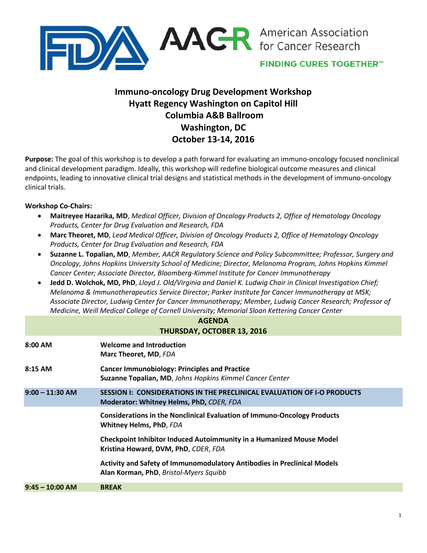

**FINDING CURES TOGETHER®** 

## **Immuno-oncology Drug Development Workshop Hyatt Regency Washington on Capitol Hill Columbia A&B Ballroom Washington, DC October 13-14, 2016**

**Purpose:** The goal of this workshop is to develop a path forward for evaluating an immuno-oncology focused nonclinical and clinical development paradigm. Ideally, this workshop will redefine biological outcome measures and clinical endpoints, leading to innovative clinical trial designs and statistical methods in the development of immuno-oncology clinical trials.

## **Workshop Co-Chairs:**

- **Maitreyee Hazarika, MD**, *Medical Officer, Division of Oncology Products 2, Office of Hematology Oncology Products, Center for Drug Evaluation and Research, FDA*
- **Marc Theoret, MD**, *Lead Medical Officer, Division of Oncology Products 2, Office of Hematology Oncology Products, Center for Drug Evaluation and Research, FDA*
- **Suzanne L. Topalian, MD**, *Member, AACR Regulatory Science and Policy Subcommittee; Professor, Surgery and Oncology, Johns Hopkins University School of Medicine; Director, Melanoma Program, Johns Hopkins Kimmel Cancer Center; Associate Director, Bloomberg-Kimmel Institute for Cancer Immunotherapy*
- **Jedd D. Wolchok, MD, PhD**, *Lloyd J. Old/Virginia and Daniel K. Ludwig Chair in Clinical Investigation Chief; Melanoma & Immunotherapeutics Service Director; Parker Institute for Cancer Immunotherapy at MSK; Associate Director, Ludwig Center for Cancer Immunotherapy; Member, Ludwig Cancer Research; Professor of Medicine, Weill Medical College of Cornell University; Memorial Sloan Kettering Cancer Center*

## **AGENDA THURSDAY, OCTOBER 13, 2016**

| 8:00 AM           | <b>Welcome and Introduction</b><br><b>Marc Theoret, MD, FDA</b>                                                           |
|-------------------|---------------------------------------------------------------------------------------------------------------------------|
| $8:15$ AM         | <b>Cancer Immunobiology: Principles and Practice</b><br>Suzanne Topalian, MD, Johns Hopkins Kimmel Cancer Center          |
| $9:00 - 11:30$ AM | SESSION I: CONSIDERATIONS IN THE PRECLINICAL EVALUATION OF I-O PRODUCTS<br>Moderator: Whitney Helms, PhD, CDER, FDA       |
|                   | <b>Considerations in the Nonclinical Evaluation of Immuno-Oncology Products</b><br>Whitney Helms, PhD, FDA                |
|                   | <b>Checkpoint Inhibitor Induced Autoimmunity in a Humanized Mouse Model</b><br>Kristina Howard, DVM, PhD, CDER, FDA       |
|                   | <b>Activity and Safety of Immunomodulatory Antibodies in Preclinical Models</b><br>Alan Korman, PhD, Bristol-Myers Squibb |
| $9:45 - 10:00$ AM | <b>BREAK</b>                                                                                                              |
|                   |                                                                                                                           |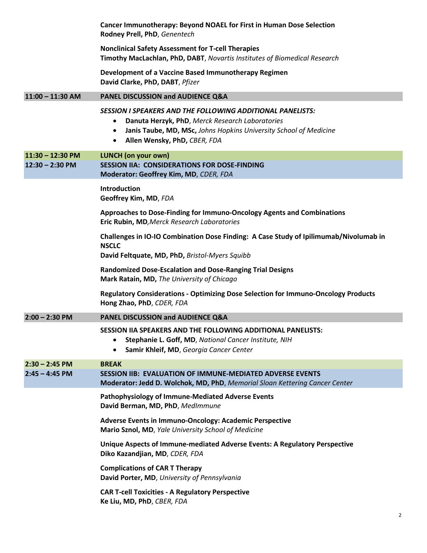|                    | Cancer Immunotherapy: Beyond NOAEL for First in Human Dose Selection<br>Rodney Prell, PhD, Genentech                                                                                                                                                             |
|--------------------|------------------------------------------------------------------------------------------------------------------------------------------------------------------------------------------------------------------------------------------------------------------|
|                    | <b>Nonclinical Safety Assessment for T-cell Therapies</b><br>Timothy MacLachlan, PhD, DABT, Novartis Institutes of Biomedical Research                                                                                                                           |
|                    | Development of a Vaccine Based Immunotherapy Regimen<br>David Clarke, PhD, DABT, Pfizer                                                                                                                                                                          |
| $11:00 - 11:30$ AM | PANEL DISCUSSION and AUDIENCE Q&A                                                                                                                                                                                                                                |
|                    | <b>SESSION I SPEAKERS AND THE FOLLOWING ADDITIONAL PANELISTS:</b><br>Danuta Herzyk, PhD, Merck Research Laboratories<br>$\bullet$<br>Janis Taube, MD, MSc, Johns Hopkins University School of Medicine<br>$\bullet$<br>Allen Wensky, PhD, CBER, FDA<br>$\bullet$ |
| $11:30 - 12:30$ PM | <b>LUNCH</b> (on your own)                                                                                                                                                                                                                                       |
| $12:30 - 2:30$ PM  | <b>SESSION IIA: CONSIDERATIONS FOR DOSE-FINDING</b><br>Moderator: Geoffrey Kim, MD, CDER, FDA                                                                                                                                                                    |
|                    | Introduction<br>Geoffrey Kim, MD, FDA                                                                                                                                                                                                                            |
|                    | Approaches to Dose-Finding for Immuno-Oncology Agents and Combinations<br>Eric Rubin, MD, Merck Research Laboratories                                                                                                                                            |
|                    | Challenges in IO-IO Combination Dose Finding: A Case Study of Ipilimumab/Nivolumab in<br><b>NSCLC</b><br>David Feltquate, MD, PhD, Bristol-Myers Squibb                                                                                                          |
|                    | <b>Randomized Dose-Escalation and Dose-Ranging Trial Designs</b><br>Mark Ratain, MD, The University of Chicago                                                                                                                                                   |
|                    | Regulatory Considerations - Optimizing Dose Selection for Immuno-Oncology Products<br>Hong Zhao, PhD, CDER, FDA                                                                                                                                                  |
| $2:00 - 2:30$ PM   | PANEL DISCUSSION and AUDIENCE Q&A                                                                                                                                                                                                                                |
|                    | <b>SESSION IIA SPEAKERS AND THE FOLLOWING ADDITIONAL PANELISTS:</b><br>Stephanie L. Goff, MD, National Cancer Institute, NIH<br>$\bullet$<br>Samir Khleif, MD, Georgia Cancer Center                                                                             |
| $2:30 - 2:45$ PM   | <b>BREAK</b>                                                                                                                                                                                                                                                     |
| $2:45 - 4:45$ PM   | <b>SESSION IIB: EVALUATION OF IMMUNE-MEDIATED ADVERSE EVENTS</b><br>Moderator: Jedd D. Wolchok, MD, PhD, Memorial Sloan Kettering Cancer Center                                                                                                                  |
|                    | Pathophysiology of Immune-Mediated Adverse Events<br>David Berman, MD, PhD, MedImmune                                                                                                                                                                            |
|                    | Adverse Events in Immuno-Oncology: Academic Perspective<br>Mario Sznol, MD, Yale University School of Medicine                                                                                                                                                   |
|                    | Unique Aspects of Immune-mediated Adverse Events: A Regulatory Perspective<br>Diko Kazandjian, MD, CDER, FDA                                                                                                                                                     |
|                    | <b>Complications of CAR T Therapy</b><br>David Porter, MD, University of Pennsylvania                                                                                                                                                                            |
|                    | <b>CAR T-cell Toxicities - A Regulatory Perspective</b><br>Ke Liu, MD, PhD, CBER, FDA                                                                                                                                                                            |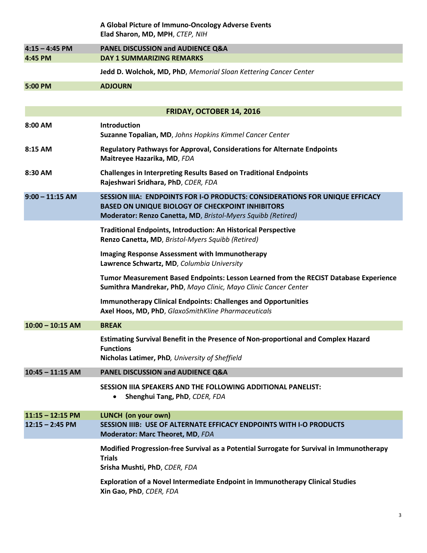|                          | A Global Picture of Immuno-Oncology Adverse Events<br>Elad Sharon, MD, MPH, CTEP, NIH                                                                                                                   |  |
|--------------------------|---------------------------------------------------------------------------------------------------------------------------------------------------------------------------------------------------------|--|
| $4:15 - 4:45$ PM         | PANEL DISCUSSION and AUDIENCE Q&A                                                                                                                                                                       |  |
| 4:45 PM                  | <b>DAY 1 SUMMARIZING REMARKS</b>                                                                                                                                                                        |  |
|                          | Jedd D. Wolchok, MD, PhD, Memorial Sloan Kettering Cancer Center                                                                                                                                        |  |
| 5:00 PM                  | <b>ADJOURN</b>                                                                                                                                                                                          |  |
|                          |                                                                                                                                                                                                         |  |
| FRIDAY, OCTOBER 14, 2016 |                                                                                                                                                                                                         |  |
| 8:00 AM                  | Introduction<br>Suzanne Topalian, MD, Johns Hopkins Kimmel Cancer Center                                                                                                                                |  |
| 8:15 AM                  | <b>Regulatory Pathways for Approval, Considerations for Alternate Endpoints</b><br>Maitreyee Hazarika, MD, FDA                                                                                          |  |
| 8:30 AM                  | <b>Challenges in Interpreting Results Based on Traditional Endpoints</b><br>Rajeshwari Sridhara, PhD, CDER, FDA                                                                                         |  |
| $9:00 - 11:15$ AM        | SESSION IIIA: ENDPOINTS FOR I-O PRODUCTS: CONSIDERATIONS FOR UNIQUE EFFICACY<br><b>BASED ON UNIQUE BIOLOGY OF CHECKPOINT INHIBITORS</b><br>Moderator: Renzo Canetta, MD, Bristol-Myers Squibb (Retired) |  |
|                          | <b>Traditional Endpoints, Introduction: An Historical Perspective</b><br>Renzo Canetta, MD, Bristol-Myers Squibb (Retired)                                                                              |  |
|                          | <b>Imaging Response Assessment with Immunotherapy</b><br>Lawrence Schwartz, MD, Columbia University                                                                                                     |  |
|                          | Tumor Measurement Based Endpoints: Lesson Learned from the RECIST Database Experience<br>Sumithra Mandrekar, PhD, Mayo Clinic, Mayo Clinic Cancer Center                                                |  |
|                          | <b>Immunotherapy Clinical Endpoints: Challenges and Opportunities</b><br>Axel Hoos, MD, PhD, GlaxoSmithKline Pharmaceuticals                                                                            |  |
| $10:00 - 10:15$ AM       | <b>BREAK</b>                                                                                                                                                                                            |  |
|                          | Estimating Survival Benefit in the Presence of Non-proportional and Complex Hazard<br><b>Functions</b>                                                                                                  |  |
|                          | Nicholas Latimer, PhD, University of Sheffield                                                                                                                                                          |  |
| $10:45 - 11:15$ AM       | PANEL DISCUSSION and AUDIENCE Q&A                                                                                                                                                                       |  |
|                          | <b>SESSION IIIA SPEAKERS AND THE FOLLOWING ADDITIONAL PANELIST:</b><br>Shenghui Tang, PhD, CDER, FDA<br>$\bullet$                                                                                       |  |
| $11:15 - 12:15$ PM       | LUNCH (on your own)                                                                                                                                                                                     |  |
| $12:15 - 2:45$ PM        | <b>SESSION IIIB: USE OF ALTERNATE EFFICACY ENDPOINTS WITH I-O PRODUCTS</b><br>Moderator: Marc Theoret, MD, FDA                                                                                          |  |
|                          | Modified Progression-free Survival as a Potential Surrogate for Survival in Immunotherapy<br><b>Trials</b>                                                                                              |  |
|                          | Srisha Mushti, PhD, CDER, FDA                                                                                                                                                                           |  |
|                          | Exploration of a Novel Intermediate Endpoint in Immunotherapy Clinical Studies<br>Xin Gao, PhD, CDER, FDA                                                                                               |  |